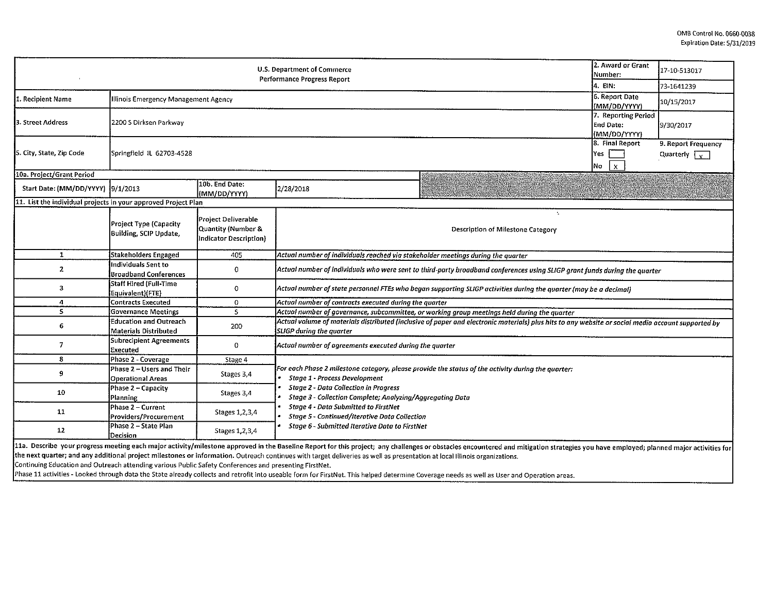| <b>U.S. Department of Commerce</b><br>Performance Progress Report |                                                            |                                                                     |                                                                                                                                                                                       |                                                                                                                                                                                                                               |  | 17-10-513017                                |  |  |
|-------------------------------------------------------------------|------------------------------------------------------------|---------------------------------------------------------------------|---------------------------------------------------------------------------------------------------------------------------------------------------------------------------------------|-------------------------------------------------------------------------------------------------------------------------------------------------------------------------------------------------------------------------------|--|---------------------------------------------|--|--|
|                                                                   |                                                            |                                                                     |                                                                                                                                                                                       |                                                                                                                                                                                                                               |  | 73-1641239                                  |  |  |
| 1. Recipient Name                                                 | Illinois Emergency Management Agency                       |                                                                     |                                                                                                                                                                                       |                                                                                                                                                                                                                               |  | 10/15/2017                                  |  |  |
| 3. Street Address                                                 | 2200 S Dirksen Parkway                                     |                                                                     |                                                                                                                                                                                       |                                                                                                                                                                                                                               |  | 9/30/2017                                   |  |  |
| 5. City, State, Zip Code                                          | 8. Final Report<br>Springfield IL 62703-4528               |                                                                     |                                                                                                                                                                                       |                                                                                                                                                                                                                               |  | 9. Report Frequency<br>Quarterly $\sqrt{x}$ |  |  |
| 10a. Project/Grant Period                                         |                                                            |                                                                     |                                                                                                                                                                                       |                                                                                                                                                                                                                               |  |                                             |  |  |
| Start Date: (MM/DD/YYYY) [9/1/2013                                |                                                            | 10b. End Date:<br>(MM/DD/YYYY)                                      | 2/28/2018                                                                                                                                                                             |                                                                                                                                                                                                                               |  |                                             |  |  |
| 11. List the individual projects in your approved Project Plan    |                                                            |                                                                     |                                                                                                                                                                                       |                                                                                                                                                                                                                               |  |                                             |  |  |
|                                                                   | Project Type (Capacity<br>Building, SCIP Update,           | Project Deliverable<br>Quantity (Number &<br>Indicator Description) |                                                                                                                                                                                       | <b>Description of Milestone Category</b>                                                                                                                                                                                      |  |                                             |  |  |
| $\mathbf{1}$                                                      | <b>Stakeholders Engaged</b>                                | 405                                                                 | Actual number of individuals reached via stakeholder meetings during the quarter                                                                                                      |                                                                                                                                                                                                                               |  |                                             |  |  |
| $\mathbf{z}$                                                      | <b>Individuals Sent to</b><br><b>Broadband Conferences</b> | 0                                                                   | Actual number of individuals who were sent to third-party broadband conferences using SLIGP grant funds during the quarter                                                            |                                                                                                                                                                                                                               |  |                                             |  |  |
| 3                                                                 | <b>Staff Hired (Full-Time</b><br>Equivalent)(FTE)          | 0                                                                   | Actual number of state personnel FTEs who began supporting SLIGP activities during the quarter (may be a decimal)                                                                     |                                                                                                                                                                                                                               |  |                                             |  |  |
| 4                                                                 | <b>Contracts Executed</b>                                  | 0                                                                   | Actual number of contracts executed during the quarter                                                                                                                                |                                                                                                                                                                                                                               |  |                                             |  |  |
| 5                                                                 | <b>Governance Meetings</b>                                 | 5                                                                   | Actual number of governance, subcommittee, or working group meetings held during the quarter                                                                                          |                                                                                                                                                                                                                               |  |                                             |  |  |
| 6                                                                 | <b>Education and Outreach</b><br>Materials Distributed     | 200                                                                 | Actual volume of materials distributed (inclusive of paper and electronic materials) plus hits to any website or social media account supported by<br><b>SLIGP</b> during the quarter |                                                                                                                                                                                                                               |  |                                             |  |  |
| 7                                                                 | Subrecipient Agreements<br>Executed                        | 0                                                                   | Actual number of agreements executed during the quarter                                                                                                                               |                                                                                                                                                                                                                               |  |                                             |  |  |
| 8                                                                 | Phase 2 - Coverage                                         | Stage 4                                                             |                                                                                                                                                                                       |                                                                                                                                                                                                                               |  |                                             |  |  |
| 9                                                                 | Phase 2 - Users and Their<br><b>Operational Areas</b>      | Stages 3,4                                                          | For each Phase 2 milestone category, please provide the status of the activity during the guarter:<br><b>Stage 1 - Process Development</b>                                            |                                                                                                                                                                                                                               |  |                                             |  |  |
| 10                                                                | Phase 2 - Capacity<br>Planning                             | Stages 3,4                                                          | <b>Stage 2 - Data Collection in Progress</b><br>Stage 3 - Collection Complete; Analyzing/Aggregating Data                                                                             |                                                                                                                                                                                                                               |  |                                             |  |  |
| 11                                                                | Phase 2 – Current<br>Providers/Procurement                 | Stages 1, 2, 3, 4                                                   | <b>Stage 4 - Data Submitted to FirstNet</b><br><b>Stage 5 - Continued/Iterative Data Collection</b>                                                                                   |                                                                                                                                                                                                                               |  |                                             |  |  |
| 12                                                                | Phase 2 - State Plan<br>Decision                           | Stages 1, 2, 3, 4                                                   | Stage 6 - Submitted Iterative Data to FirstNet                                                                                                                                        |                                                                                                                                                                                                                               |  |                                             |  |  |
| 11a - Dorreiba ware asare                                         |                                                            |                                                                     | onklum oneb musics nethdaufunkceana announced in the Benelius Beneat feathing antiqua<br>$-1 - 11 - 1$                                                                                | the company of the company of the company of the company of the company of the company of the company of the company of the company of the company of the company of the company of the company of the company of the company |  |                                             |  |  |

11a. Describe your progress meeting each major activity/milestone approved in the Baseline Report for this project; any challenges or obstacles encountered and mitigation strategies you have employed; planned major activit the next quarter; and any additional project milestones or information. Outreach continues with target deliveries as well as presentation at local Illinois organizations.

Continuing Education and Outreach attending various Public Safety Conferences and presenting FirstNet.

Phase 11 activities - Looked through data the State already collects and retrofit into useable form for FirstNet. This helped determine Coverage needs as well as User and Operation areas.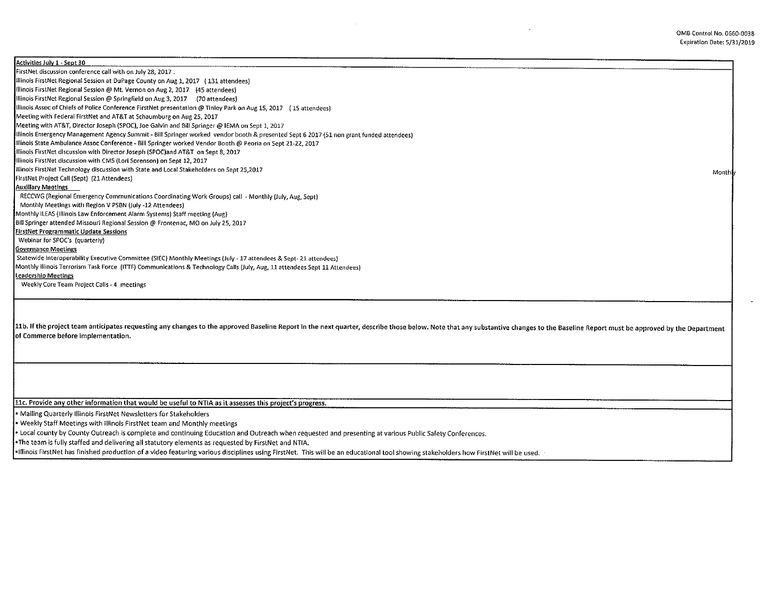$\cdot$ 

| Activities July 1 - Sept 30                                                                                                                                                                                                    |       |
|--------------------------------------------------------------------------------------------------------------------------------------------------------------------------------------------------------------------------------|-------|
| FirstNet discussion conference call with on July 28, 2017.                                                                                                                                                                     |       |
| Illinois FirstNet Regional Session at DuPage County on Aug 1, 2017 (131 attendees)                                                                                                                                             |       |
| Illinois FirstNet Regional Session @ Mt. Vernon on Aug 2, 2017 (45 attendees)                                                                                                                                                  |       |
| Illinois FirstNet Regional Session @ Springfield on Aug 3, 2017 (70 attendees)                                                                                                                                                 |       |
| Illinois Assoc of Chiefs of Police Conference FirstNet presentation @ Tinley Park on Aug 15, 2017 (15 attendees)                                                                                                               |       |
| Meeting with Federal FirstNet and AT&T at Schaumburg on Aug 25, 2017                                                                                                                                                           |       |
| Meeting with AT&T, Director Joseph (SPOC), Joe Galvin and Bill Springer @ IEMA on Sept 1, 2017                                                                                                                                 |       |
| Illinois Emergency Management Agency Summit - Bill Springer worked vendor booth & presented Sept 6 2017 (51 non grant funded attendees)                                                                                        |       |
| Illinois State Ambulance Assoc Conference - Bill Springer worked Vendor Booth @ Peoria on Sept 21-22, 2017                                                                                                                     |       |
| Illinois FirstNet discussion with Director Joseph (SPOC)and AT&T on Sept 8, 2017                                                                                                                                               |       |
| Illinois FirstNet discussion with CMS (Lori Sorenson) on Sept 12, 2017                                                                                                                                                         |       |
| Illinois FirstNet Technology discussion with State and Local Stakeholders on Sept 25,2017                                                                                                                                      | Month |
| [FirstNet Project Call (Sept) (21 Attendees)                                                                                                                                                                                   |       |
| <b>Auxiliary Meetings</b>                                                                                                                                                                                                      |       |
| RECCWG (Regional Emergency Communications Coordinating Work Groups) call - Monthly (July, Aug, Sept)                                                                                                                           |       |
| Monthly Meetings with Region V PSBN (July -12 Attendees)                                                                                                                                                                       |       |
| Monthly ILEAS (Illinois Law Enforcement Alarm Systems) Staff meeting (Aug)                                                                                                                                                     |       |
| Bill Springer attended Missouri Regional Session @ Frontenac, MO on July 25, 2017                                                                                                                                              |       |
| <b>FirstNet Programmatic Update Sessions</b>                                                                                                                                                                                   |       |
| Webinar for SPOC's (quarterly)                                                                                                                                                                                                 |       |
| <b>Governance Meetings</b>                                                                                                                                                                                                     |       |
| Statewide Interoperability Executive Committee (SIEC) Monthly Meetings (July - 17 attendees & Sept-21 attendees)                                                                                                               |       |
| Monthly Illinois Terrorism Task Force (ITTF) Communications & Technology Calls (July, Aug, 11 attendees Sept 11 Attendees)                                                                                                     |       |
| Leadership Meetings                                                                                                                                                                                                            |       |
| Weekly Core Team Project Calls - 4 meetings                                                                                                                                                                                    |       |
|                                                                                                                                                                                                                                |       |
|                                                                                                                                                                                                                                |       |
|                                                                                                                                                                                                                                |       |
| 11b. If the project team anticipates requesting any changes to the approved Baseline Report in the next quarter, describe those below. Note that any substantive changes to the Baseline Report must be approved by the Depart |       |
| of Commerce before implementation.                                                                                                                                                                                             |       |
|                                                                                                                                                                                                                                |       |
|                                                                                                                                                                                                                                |       |

llc. Provide anv other information that would be useful to NTIA as it assesses this project's progress.

• Mailing Quarterly Illinois FirstNet Newsletters for Stakeholders

• Weekly Staff Meetings with Illinois FirstNet team and Monthly meetings

• Local county by County Outreach is complete and continuing Education and Outreach when requested and presenting at various Public Safety Conferences.

•The team is fully staffed and delivering all statutory elements as requested by FirstNet and NTIA.

•Illinois FirstNet has finished production of a video featuring various disciplines using FirstNet. This will be an educational tool showing stakeholders how FirstNet will be used.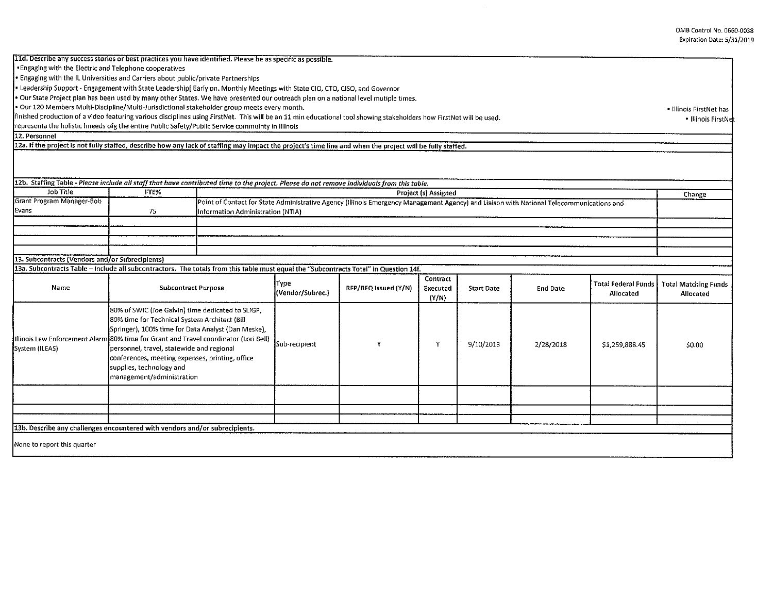11d. Describe any success stories or best practices you have identified. Please be as specific as possible. •Engaging with the Electric and Telephone cooperatives • Engaging with the IL Universities and Carriers about public/private Partnerships • Leadership Support - Engagement with State Leadership[ Early on. Monthly Meetings with State CID, CTO, CISO, and Governor • Our State Project plan has been used by many other States. We have presented our outreach plan on a national level mutip!e times. • Our 120 Members Multi-Discipline/Multl-Jurisdictional stakeholder group meets every month. finished production of a video featuring various disciplines using FirstNet. This will be an 11 min educational tool showing stakeholders how FirstNet will be used. representa the holistic hneeds ofg the entire Public Safety/Public Service commuinty in Illinois 12. Personnel 12a. If the nroject is not fully staffed, describe how any lack of staffing may impact the proiect's time line and when the proiect will be fullv staffed. 12b. Staffing Table - *Please include all staff that have contributed time to the project. Please do not remove individuals from this table.*  Job Title FTE% FTE% FTE% Project (s) Assigned<br>Grant Program Manager-Bob Project (s) Assigned Point of Contact for State Administrative Agency (fillinois Emergency Management Age Grant Program Manager-Bob **Point of Contact for State Administrative Agency (Illinois Emergency Management Agency) and Liaison with National Telecommunications and Evans** 75 Information Administration (NTIA) 13. Subcontracts {Vendors and/or Subrecipients) 13a. Subcontracts Table - Include all subcontractors. The totals from this table must equal the "Subcontracts Total" in Question 14f. Type  $RFP/RFQ$  issued  $(Y/N)$  Executed Name Subcontract Purpose Type RFP/RFQ Issued (Y/N) Start Date End Date Total Federal Funds<br>(Y/N) (Y/N) (Y/N) (Y/N) Charles End Date Allocated 80% of SWIC (Joe Galvin) time dedicated to SUGP, 80% time for Technical System Architect (Bill Springer), 100% time for Data Analyst (Dan Meske), |Illinois Law Enforcement Alarm 80% time for Grant and Travel coordinator (Lori Bell) Sub-recipient y y y y y y 9/10/2013 2/28/2018 \$1,259,888.45 System (ILEAS) personnel, travel, statewide and regional conferences, meeting expenses, printing, office supplies, technology and management/administration 13b. Describe any challenges encountered with vendors and/or subrecipients. None to report this quarter • Illinois FirstNet has • Illinois FirstNet Change Total Matching Funds Allocated \$0.00